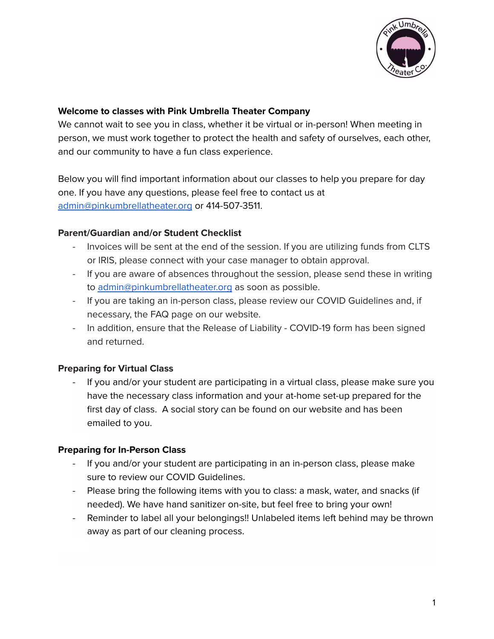

#### **Welcome to classes with Pink Umbrella Theater Company**

We cannot wait to see you in class, whether it be virtual or in-person! When meeting in person, we must work together to protect the health and safety of ourselves, each other, and our community to have a fun class experience.

Below you will find important information about our classes to help you prepare for day one. If you have any questions, please feel free to contact us at [admin@pinkumbrellatheater.org](mailto:admin@pinkumbrellatheater.org) or 414-507-3511.

## **Parent/Guardian and/or Student Checklist**

- Invoices will be sent at the end of the session. If you are utilizing funds from CLTS or IRIS, please connect with your case manager to obtain approval.
- If you are aware of absences throughout the session, please send these in writing to [admin@pinkumbrellatheater.org](mailto:admin@pinkumbrellatheater.org) as soon as possible.
- If you are taking an in-person class, please review our COVID Guidelines and, if necessary, the FAQ page on our website.
- In addition, ensure that the Release of Liability COVID-19 form has been signed and returned.

# **Preparing for Virtual Class**

If you and/or your student are participating in a virtual class, please make sure you have the necessary class information and your at-home set-up prepared for the first day of class. A social story can be found on our website and has been emailed to you.

# **Preparing for In-Person Class**

- If you and/or your student are participating in an in-person class, please make sure to review our COVID Guidelines.
- Please bring the following items with you to class: a mask, water, and snacks (if needed). We have hand sanitizer on-site, but feel free to bring your own!
- Reminder to label all your belongings!! Unlabeled items left behind may be thrown away as part of our cleaning process.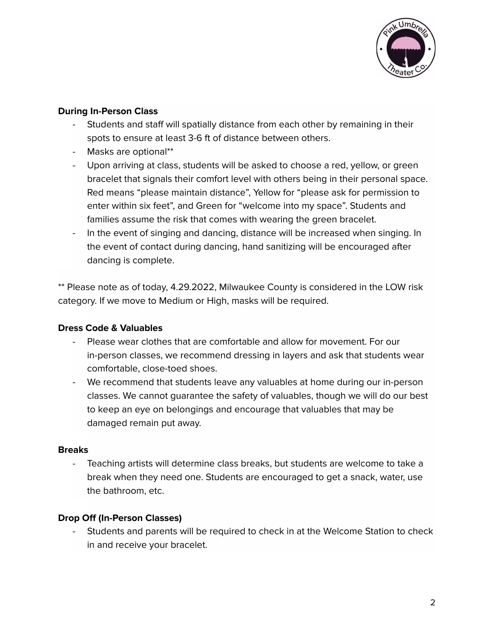

### **During In-Person Class**

- Students and staff will spatially distance from each other by remaining in their spots to ensure at least 3-6 ft of distance between others.
- Masks are optional\*\*
- Upon arriving at class, students will be asked to choose a red, yellow, or green bracelet that signals their comfort level with others being in their personal space. Red means "please maintain distance", Yellow for "please ask for permission to enter within six feet", and Green for "welcome into my space". Students and families assume the risk that comes with wearing the green bracelet.
- In the event of singing and dancing, distance will be increased when singing. In the event of contact during dancing, hand sanitizing will be encouraged after dancing is complete.

\*\* Please note as of today, 4.29.2022, Milwaukee County is considered in the LOW risk category. If we move to Medium or High, masks will be required.

# **Dress Code & Valuables**

- Please wear clothes that are comfortable and allow for movement. For our in-person classes, we recommend dressing in layers and ask that students wear comfortable, close-toed shoes.
- We recommend that students leave any valuables at home during our in-person classes. We cannot guarantee the safety of valuables, though we will do our best to keep an eye on belongings and encourage that valuables that may be damaged remain put away.

#### **Breaks**

Teaching artists will determine class breaks, but students are welcome to take a break when they need one. Students are encouraged to get a snack, water, use the bathroom, etc.

# **Drop Off (In-Person Classes)**

Students and parents will be required to check in at the Welcome Station to check in and receive your bracelet.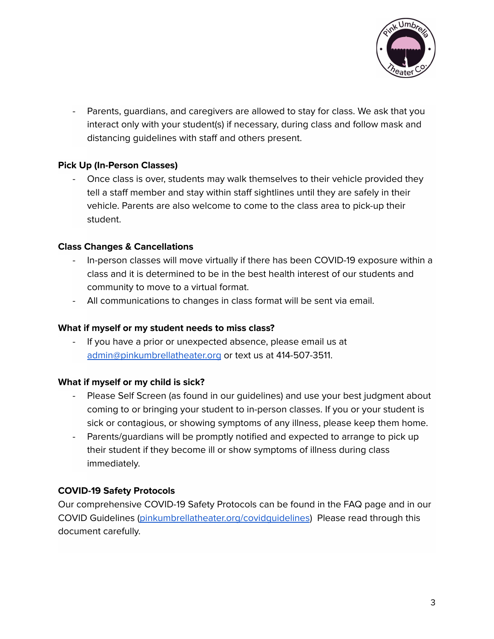

Parents, guardians, and caregivers are allowed to stay for class. We ask that you interact only with your student(s) if necessary, during class and follow mask and distancing guidelines with staff and others present.

## **Pick Up (In-Person Classes)**

- Once class is over, students may walk themselves to their vehicle provided they tell a staff member and stay within staff sightlines until they are safely in their vehicle. Parents are also welcome to come to the class area to pick-up their student.

## **Class Changes & Cancellations**

- In-person classes will move virtually if there has been COVID-19 exposure within a class and it is determined to be in the best health interest of our students and community to move to a virtual format.
- All communications to changes in class format will be sent via email.

#### **What if myself or my student needs to miss class?**

If you have a prior or unexpected absence, please email us at [admin@pinkumbrellatheater.org](mailto:admin@pinkumbrellatheater.org) or text us at 414-507-3511.

#### **What if myself or my child is sick?**

- Please Self Screen (as found in our guidelines) and use your best judgment about coming to or bringing your student to in-person classes. If you or your student is sick or contagious, or showing symptoms of any illness, please keep them home.
- Parents/guardians will be promptly notified and expected to arrange to pick up their student if they become ill or show symptoms of illness during class immediately.

# **COVID-19 Safety Protocols**

Our comprehensive COVID-19 Safety Protocols can be found in the FAQ page and in our COVID Guidelines [\(pinkumbrellatheater.org/covidguidelines](https://www.pinkumbrellatheater.org/summerguidelines)) Please read through this document carefully.